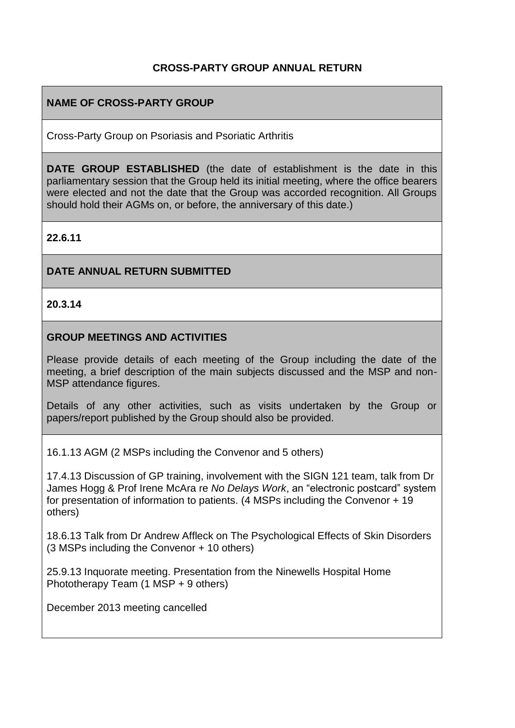## **CROSS-PARTY GROUP ANNUAL RETURN**

## **NAME OF CROSS-PARTY GROUP**

Cross-Party Group on Psoriasis and Psoriatic Arthritis

**DATE GROUP ESTABLISHED** (the date of establishment is the date in this parliamentary session that the Group held its initial meeting, where the office bearers were elected and not the date that the Group was accorded recognition. All Groups should hold their AGMs on, or before, the anniversary of this date.)

#### **22.6.11**

#### **DATE ANNUAL RETURN SUBMITTED**

**20.3.14**

#### **GROUP MEETINGS AND ACTIVITIES**

Please provide details of each meeting of the Group including the date of the meeting, a brief description of the main subjects discussed and the MSP and non-MSP attendance figures.

Details of any other activities, such as visits undertaken by the Group or papers/report published by the Group should also be provided.

16.1.13 AGM (2 MSPs including the Convenor and 5 others)

17.4.13 Discussion of GP training, involvement with the SIGN 121 team, talk from Dr James Hogg & Prof Irene McAra re *No Delays Work*, an "electronic postcard" system for presentation of information to patients. (4 MSPs including the Convenor + 19 others)

18.6.13 Talk from Dr Andrew Affleck on The Psychological Effects of Skin Disorders (3 MSPs including the Convenor + 10 others)

25.9.13 Inquorate meeting. Presentation from the Ninewells Hospital Home Phototherapy Team (1 MSP + 9 others)

December 2013 meeting cancelled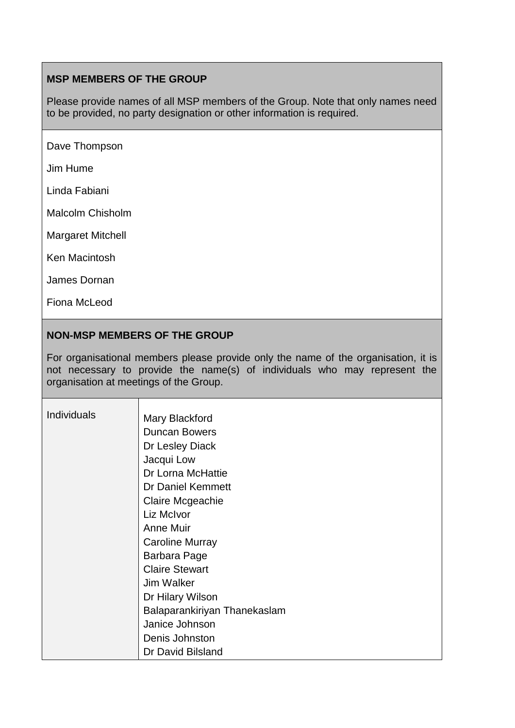# **MSP MEMBERS OF THE GROUP**

Please provide names of all MSP members of the Group. Note that only names need to be provided, no party designation or other information is required.

Dave Thompson

Jim Hume

Linda Fabiani

Malcolm Chisholm

Margaret Mitchell

Ken Macintosh

James Dornan

Fiona McLeod

### **NON-MSP MEMBERS OF THE GROUP**

For organisational members please provide only the name of the organisation, it is not necessary to provide the name(s) of individuals who may represent the organisation at meetings of the Group.

| <b>Individuals</b> | Mary Blackford               |
|--------------------|------------------------------|
|                    | <b>Duncan Bowers</b>         |
|                    | Dr Lesley Diack              |
|                    | Jacqui Low                   |
|                    | Dr Lorna McHattie            |
|                    | Dr Daniel Kemmett            |
|                    | Claire Mcgeachie             |
|                    | Liz McIvor                   |
|                    | Anne Muir                    |
|                    | <b>Caroline Murray</b>       |
|                    | Barbara Page                 |
|                    | <b>Claire Stewart</b>        |
|                    | Jim Walker                   |
|                    | Dr Hilary Wilson             |
|                    | Balaparankiriyan Thanekaslam |
|                    | Janice Johnson               |
|                    | Denis Johnston               |
|                    | Dr David Bilsland            |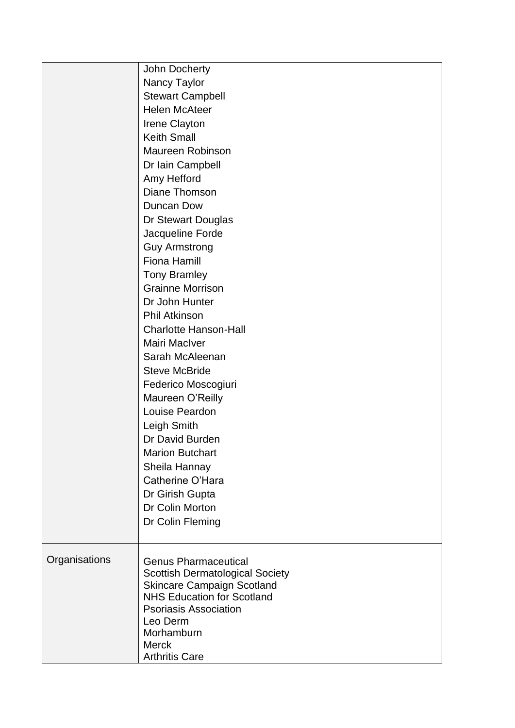|               | John Docherty                                                               |
|---------------|-----------------------------------------------------------------------------|
|               | Nancy Taylor                                                                |
|               | <b>Stewart Campbell</b>                                                     |
|               | <b>Helen McAteer</b>                                                        |
|               | Irene Clayton                                                               |
|               | <b>Keith Small</b>                                                          |
|               | <b>Maureen Robinson</b>                                                     |
|               | Dr Iain Campbell                                                            |
|               | Amy Hefford                                                                 |
|               | Diane Thomson                                                               |
|               | Duncan Dow                                                                  |
|               | Dr Stewart Douglas                                                          |
|               | Jacqueline Forde                                                            |
|               | <b>Guy Armstrong</b>                                                        |
|               | <b>Fiona Hamill</b>                                                         |
|               | <b>Tony Bramley</b>                                                         |
|               | <b>Grainne Morrison</b>                                                     |
|               | Dr John Hunter                                                              |
|               | <b>Phil Atkinson</b>                                                        |
|               | <b>Charlotte Hanson-Hall</b>                                                |
|               | Mairi MacIver                                                               |
|               | Sarah McAleenan                                                             |
|               | <b>Steve McBride</b>                                                        |
|               | Federico Moscogiuri                                                         |
|               | Maureen O'Reilly                                                            |
|               | Louise Peardon                                                              |
|               | Leigh Smith                                                                 |
|               | Dr David Burden                                                             |
|               | <b>Marion Butchart</b>                                                      |
|               | Sheila Hannay                                                               |
|               | Catherine O'Hara                                                            |
|               | Dr Girish Gupta                                                             |
|               | Dr Colin Morton                                                             |
|               | Dr Colin Fleming                                                            |
|               |                                                                             |
|               |                                                                             |
| Organisations | <b>Genus Pharmaceutical</b>                                                 |
|               | <b>Scottish Dermatological Society</b><br><b>Skincare Campaign Scotland</b> |
|               | <b>NHS Education for Scotland</b>                                           |
|               | <b>Psoriasis Association</b>                                                |
|               | Leo Derm                                                                    |
|               | Morhamburn                                                                  |
|               | <b>Merck</b>                                                                |
|               | <b>Arthritis Care</b>                                                       |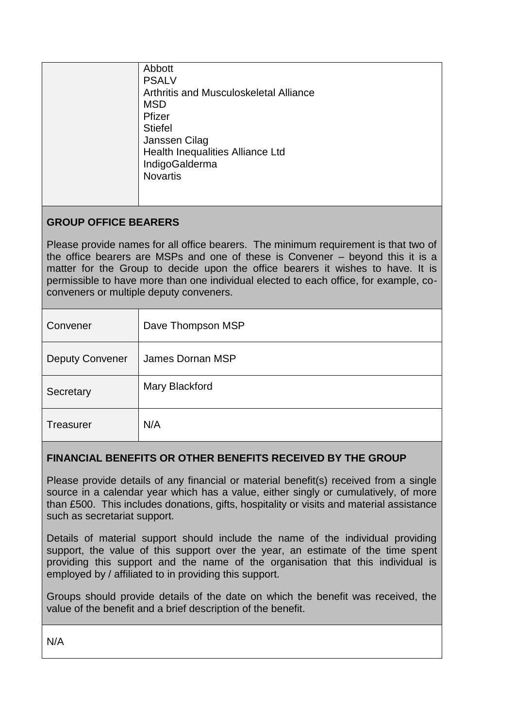| Abbott                                 |
|----------------------------------------|
| <b>PSALV</b>                           |
| Arthritis and Musculoskeletal Alliance |
| <b>MSD</b>                             |
| Pfizer                                 |
| <b>Stiefel</b>                         |
| Janssen Cilag                          |
| Health Inequalities Alliance Ltd       |
| IndigoGalderma                         |
| <b>Novartis</b>                        |
|                                        |
|                                        |

# **GROUP OFFICE BEARERS**

Please provide names for all office bearers. The minimum requirement is that two of the office bearers are MSPs and one of these is Convener – beyond this it is a matter for the Group to decide upon the office bearers it wishes to have. It is permissible to have more than one individual elected to each office, for example, coconveners or multiple deputy conveners.

| Convener               | Dave Thompson MSP |
|------------------------|-------------------|
| <b>Deputy Convener</b> | James Dornan MSP  |
| Secretary              | Mary Blackford    |
| <b>Treasurer</b>       | N/A               |

## **FINANCIAL BENEFITS OR OTHER BENEFITS RECEIVED BY THE GROUP**

Please provide details of any financial or material benefit(s) received from a single source in a calendar year which has a value, either singly or cumulatively, of more than £500. This includes donations, gifts, hospitality or visits and material assistance such as secretariat support.

Details of material support should include the name of the individual providing support, the value of this support over the year, an estimate of the time spent providing this support and the name of the organisation that this individual is employed by / affiliated to in providing this support.

Groups should provide details of the date on which the benefit was received, the value of the benefit and a brief description of the benefit.

N/A